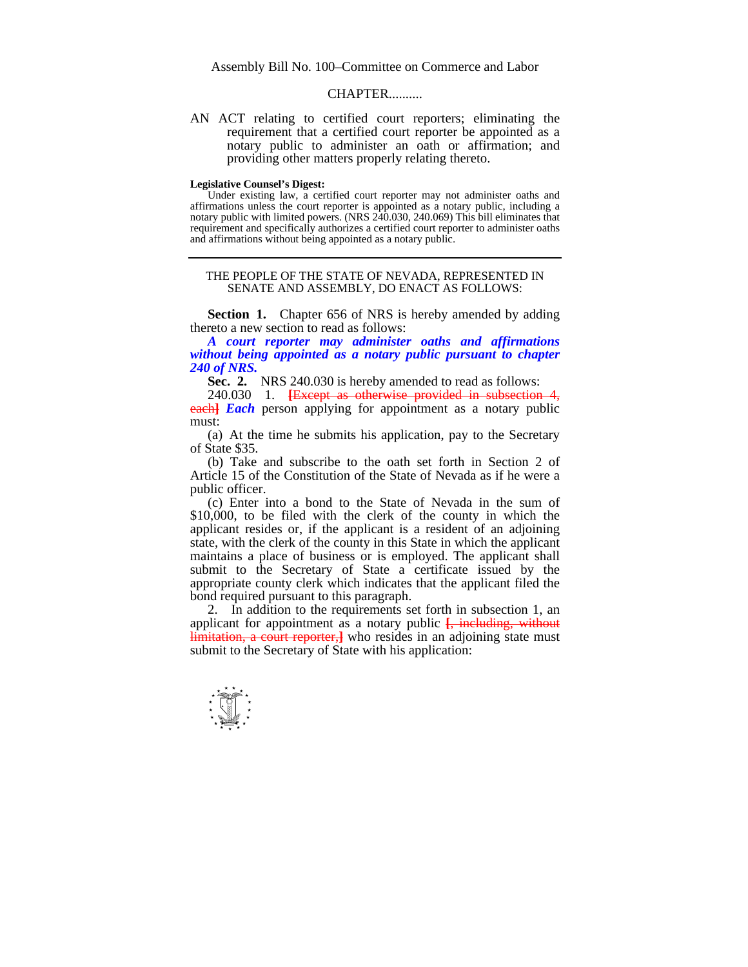Assembly Bill No. 100–Committee on Commerce and Labor

## **CHAPTER**

AN ACT relating to certified court reporters; eliminating the requirement that a certified court reporter be appointed as a notary public to administer an oath or affirmation; and providing other matters properly relating thereto.

## **Legislative Counsel's Digest:**

 Under existing law, a certified court reporter may not administer oaths and affirmations unless the court reporter is appointed as a notary public, including a notary public with limited powers. (NRS 240.030, 240.069) This bill eliminates that requirement and specifically authorizes a certified court reporter to administer oaths and affirmations without being appointed as a notary public.

THE PEOPLE OF THE STATE OF NEVADA, REPRESENTED IN SENATE AND ASSEMBLY, DO ENACT AS FOLLOWS:

**Section 1.** Chapter 656 of NRS is hereby amended by adding thereto a new section to read as follows:

 *A court reporter may administer oaths and affirmations without being appointed as a notary public pursuant to chapter 240 of NRS.*

 **Sec. 2.** NRS 240.030 is hereby amended to read as follows:

 240.030 1. **[**Except as otherwise provided in subsection 4, **each** *Each* person applying for appointment as a notary public must:

 (a) At the time he submits his application, pay to the Secretary of State \$35.

 (b) Take and subscribe to the oath set forth in Section 2 of Article 15 of the Constitution of the State of Nevada as if he were a public officer.

 (c) Enter into a bond to the State of Nevada in the sum of \$10,000, to be filed with the clerk of the county in which the applicant resides or, if the applicant is a resident of an adjoining state, with the clerk of the county in this State in which the applicant maintains a place of business or is employed. The applicant shall submit to the Secretary of State a certificate issued by the appropriate county clerk which indicates that the applicant filed the bond required pursuant to this paragraph.

 2. In addition to the requirements set forth in subsection 1, an applicant for appointment as a notary public  $\frac{1}{2}$ , including, without limitation, a court reporter, who resides in an adjoining state must submit to the Secretary of State with his application:

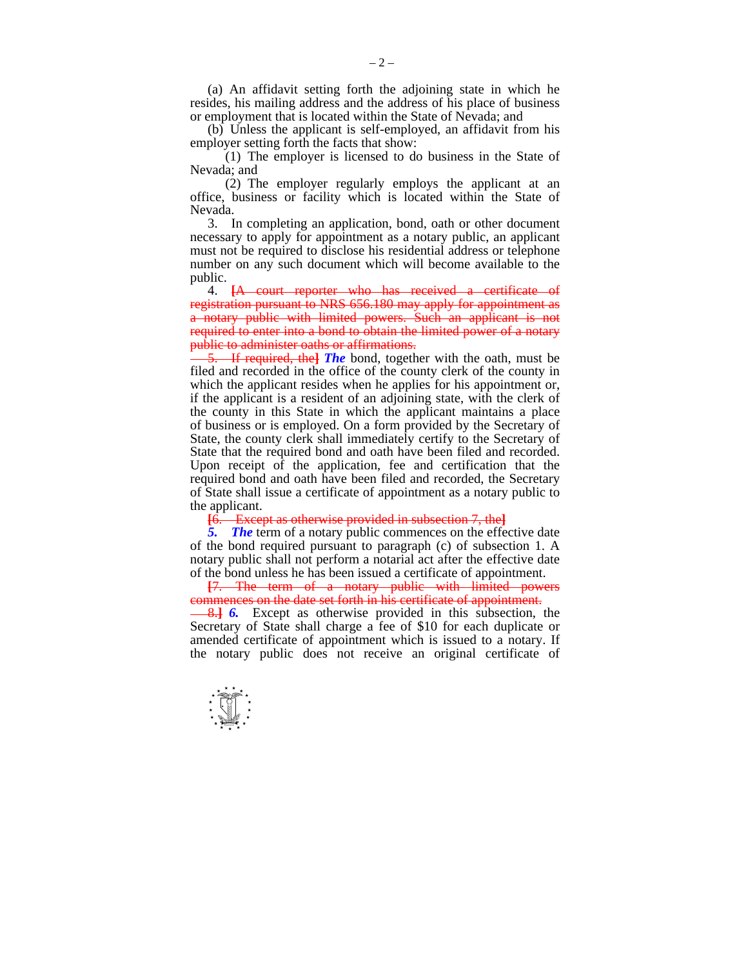(a) An affidavit setting forth the adjoining state in which he resides, his mailing address and the address of his place of business or employment that is located within the State of Nevada; and

 (b) Unless the applicant is self-employed, an affidavit from his employer setting forth the facts that show:

 (1) The employer is licensed to do business in the State of Nevada; and

 (2) The employer regularly employs the applicant at an office, business or facility which is located within the State of Nevada.

 3. In completing an application, bond, oath or other document necessary to apply for appointment as a notary public, an applicant must not be required to disclose his residential address or telephone number on any such document which will become available to the public.

 4. **[**A court reporter who has received a certificate of registration pursuant to NRS 656.180 may apply for appointment as a notary public with limited powers. Such an applicant is not required to enter into a bond to obtain the limited power of a notary public to administer oaths or affirmations.

5. If required, the**]** *The* bond, together with the oath, must be filed and recorded in the office of the county clerk of the county in which the applicant resides when he applies for his appointment or, if the applicant is a resident of an adjoining state, with the clerk of the county in this State in which the applicant maintains a place of business or is employed. On a form provided by the Secretary of State, the county clerk shall immediately certify to the Secretary of State that the required bond and oath have been filed and recorded. Upon receipt of the application, fee and certification that the required bond and oath have been filed and recorded, the Secretary of State shall issue a certificate of appointment as a notary public to the applicant.

**[**6. Except as otherwise provided in subsection 7, the**]**

 *5. The* term of a notary public commences on the effective date of the bond required pursuant to paragraph (c) of subsection 1. A notary public shall not perform a notarial act after the effective date of the bond unless he has been issued a certificate of appointment.

**[**7. The term of a notary public with limited powers commences on the date set forth in his certificate of appointment.

8.**]** *6.* Except as otherwise provided in this subsection, the Secretary of State shall charge a fee of \$10 for each duplicate or amended certificate of appointment which is issued to a notary. If the notary public does not receive an original certificate of

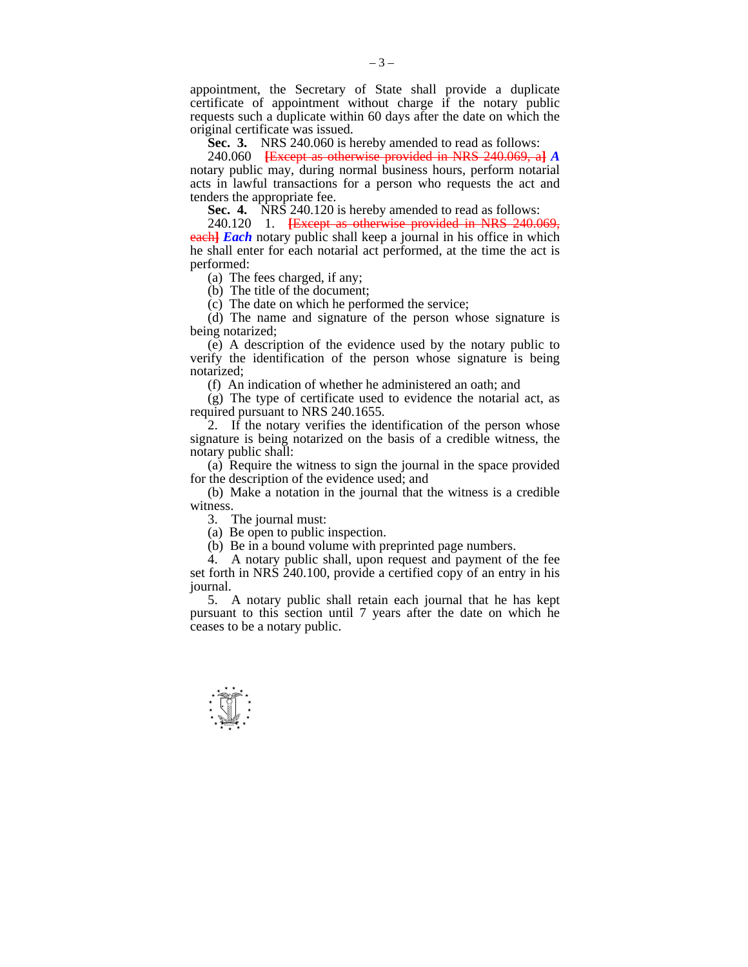appointment, the Secretary of State shall provide a duplicate certificate of appointment without charge if the notary public requests such a duplicate within 60 days after the date on which the original certificate was issued.

 **Sec. 3.** NRS 240.060 is hereby amended to read as follows:

 240.060 **[**Except as otherwise provided in NRS 240.069, a**]** *A*  notary public may, during normal business hours, perform notarial acts in lawful transactions for a person who requests the act and tenders the appropriate fee.

 **Sec. 4.** NRS 240.120 is hereby amended to read as follows:

 240.120 1. **[**Except as otherwise provided in NRS 240.069, **each]** *Each* notary public shall keep a journal in his office in which he shall enter for each notarial act performed, at the time the act is performed:

(a) The fees charged, if any;

(b) The title of the document;

(c) The date on which he performed the service;

 (d) The name and signature of the person whose signature is being notarized;

 (e) A description of the evidence used by the notary public to verify the identification of the person whose signature is being notarized;

(f) An indication of whether he administered an oath; and

 (g) The type of certificate used to evidence the notarial act, as required pursuant to NRS 240.1655.

 2. If the notary verifies the identification of the person whose signature is being notarized on the basis of a credible witness, the notary public shall:

 (a) Require the witness to sign the journal in the space provided for the description of the evidence used; and

 (b) Make a notation in the journal that the witness is a credible witness.

3. The journal must:

(a) Be open to public inspection.

(b) Be in a bound volume with preprinted page numbers.

 4. A notary public shall, upon request and payment of the fee set forth in NRS 240.100, provide a certified copy of an entry in his journal.

 5. A notary public shall retain each journal that he has kept pursuant to this section until 7 years after the date on which he ceases to be a notary public.